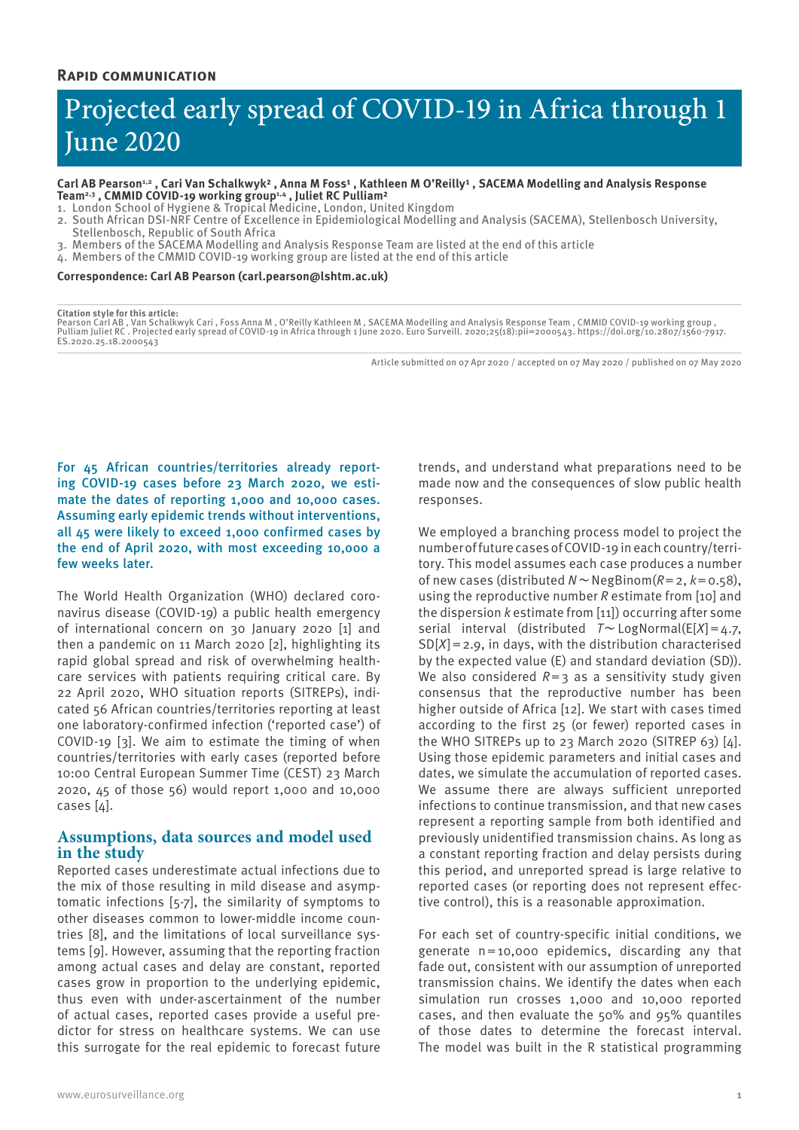# Projected early spread of COVID-19 in Africa through 1 June 2020

#### Carl AB Pearson<sup>1,2</sup>, Cari Van Schalkwyk<sup>2</sup>, Anna M Foss<sup>1</sup>, Kathleen M O'Reilly<sup>1</sup>, SACEMA Modelling and Analysis Response **Team2,3 , CMMID COVID-19 working group1,4 , Juliet RC Pulliam²**

- 1. London School of Hygiene & Tropical Medicine, London, United Kingdom
- 2. South African DSI-NRF Centre of Excellence in Epidemiological Modelling and Analysis (SACEMA), Stellenbosch University,
- Stellenbosch, Republic of South Africa
- 3. Members of the SACEMA Modelling and Analysis Response Team are listed at the end of this article
- 4. Members of the CMMID COVID-19 working group are listed at the end of this article

#### **Correspondence: Carl AB Pearson (carl.pearson@lshtm.ac.uk)**

#### **Citation style for this article:**

Pearson Carl AB , Van Schalkwyk Cari , Foss Anna M , O'Reilly Kathleen M , SACEMA Modelling and Analysis Response Team , CMMID COVID-19 working group ,<br>Pulliam Juliet RC . Projected early spread of COVID-19 in Africa throu ES.2020.25.18.2000543

Article submitted on 07 Apr 2020 / accepted on 07 May 2020 / published on 07 May 2020

For 45 African countries/territories already reporting COVID-19 cases before 23 March 2020, we estimate the dates of reporting 1,000 and 10,000 cases. Assuming early epidemic trends without interventions, all 45 were likely to exceed 1,000 confirmed cases by the end of April 2020, with most exceeding 10,000 a few weeks later.

The World Health Organization (WHO) declared coronavirus disease (COVID-19) a public health emergency of international concern on 30 January 2020 [1] and then a pandemic on 11 March 2020 [2], highlighting its rapid global spread and risk of overwhelming healthcare services with patients requiring critical care. By 22 April 2020, WHO situation reports (SITREPs), indicated 56 African countries/territories reporting at least one laboratory-confirmed infection ('reported case') of COVID-19 [3]. We aim to estimate the timing of when countries/territories with early cases (reported before 10:00 Central European Summer Time (CEST) 23 March 2020, 45 of those 56) would report 1,000 and 10,000 cases [4].

# **Assumptions, data sources and model used in the study**

Reported cases underestimate actual infections due to the mix of those resulting in mild disease and asymptomatic infections [5-7], the similarity of symptoms to other diseases common to lower-middle income countries [8], and the limitations of local surveillance systems [9]. However, assuming that the reporting fraction among actual cases and delay are constant, reported cases grow in proportion to the underlying epidemic, thus even with under-ascertainment of the number of actual cases, reported cases provide a useful predictor for stress on healthcare systems. We can use this surrogate for the real epidemic to forecast future

trends, and understand what preparations need to be made now and the consequences of slow public health responses.

We employed a branching process model to project the number of future cases of COVID-19 in each country/territory. This model assumes each case produces a number of new cases (distributed *N*∼NegBinom(*R*=2, *k*=0.58), using the reproductive number *R* estimate from [10] and the dispersion *k* estimate from [11]) occurring after some serial interval (distributed *T*∼LogNormal(E[*X*]=4.7, SD[*X*]=2.9, in days, with the distribution characterised by the expected value (E) and standard deviation (SD)). We also considered  $R=3$  as a sensitivity study given consensus that the reproductive number has been higher outside of Africa [12]. We start with cases timed according to the first 25 (or fewer) reported cases in the WHO SITREPs up to 23 March 2020 (SITREP 63)  $[4]$ . Using those epidemic parameters and initial cases and dates, we simulate the accumulation of reported cases. We assume there are always sufficient unreported infections to continue transmission, and that new cases represent a reporting sample from both identified and previously unidentified transmission chains. As long as a constant reporting fraction and delay persists during this period, and unreported spread is large relative to reported cases (or reporting does not represent effective control), this is a reasonable approximation.

For each set of country-specific initial conditions, we generate n=10,000 epidemics, discarding any that fade out, consistent with our assumption of unreported transmission chains. We identify the dates when each simulation run crosses 1,000 and 10,000 reported cases, and then evaluate the 50% and 95% quantiles of those dates to determine the forecast interval. The model was built in the R statistical programming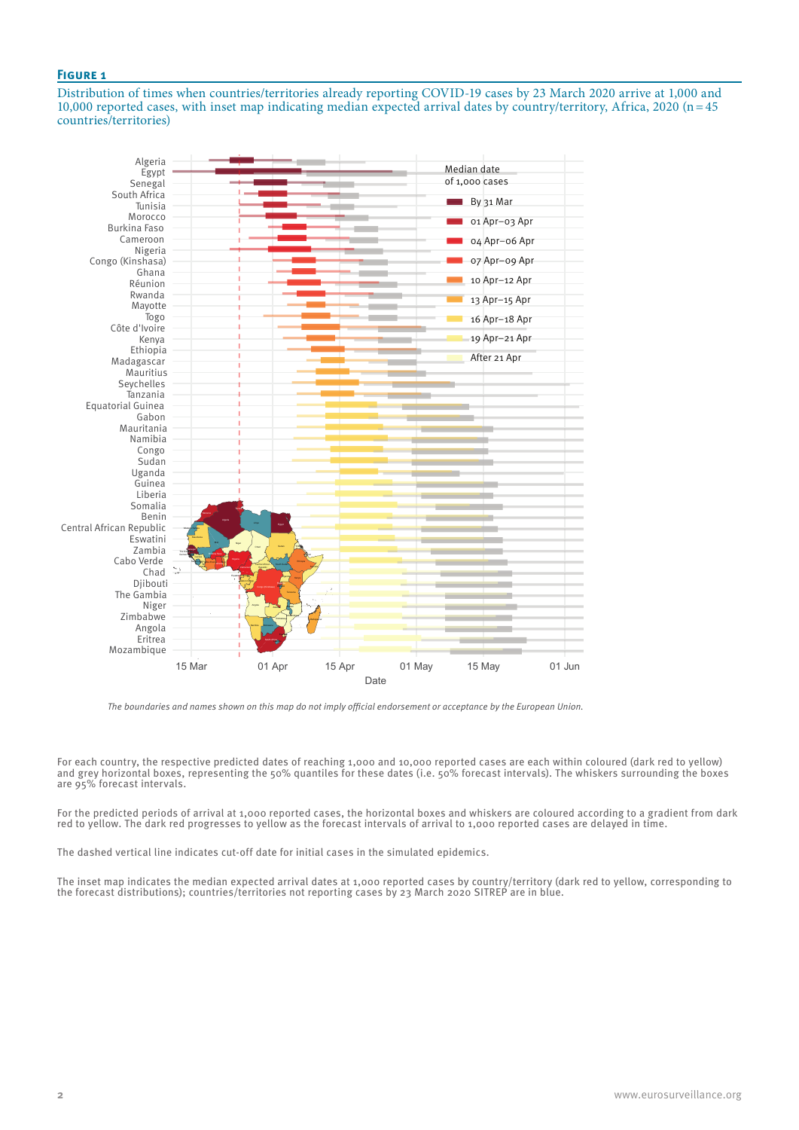## **Figure 1**

Distribution of times when countries/territories already reporting COVID-19 cases by 23 March 2020 arrive at 1,000 and 10,000 reported cases, with inset map indicating median expected arrival dates by country/territory, Africa, 2020 (n=45 countries/territories)



*The boundaries and names shown on this map do not imply official endorsement or acceptance by the European Union.*

For each country, the respective predicted dates of reaching 1,000 and 10,000 reported cases are each within coloured (dark red to yellow) and grey horizontal boxes, representing the 50% quantiles for these dates (i.e. 50% forecast intervals). The whiskers surrounding the boxes are 95% forecast intervals.

For the predicted periods of arrival at 1,000 reported cases, the horizontal boxes and whiskers are coloured according to a gradient from dark red to yellow. The dark red progresses to yellow as the forecast intervals of arrival to 1,000 reported cases are delayed in time.

The dashed vertical line indicates cut-off date for initial cases in the simulated epidemics.

The inset map indicates the median expected arrival dates at 1,000 reported cases by country/territory (dark red to yellow, corresponding to the forecast distributions); countries/territories not reporting cases by 23 March 2020 SITREP are in blue.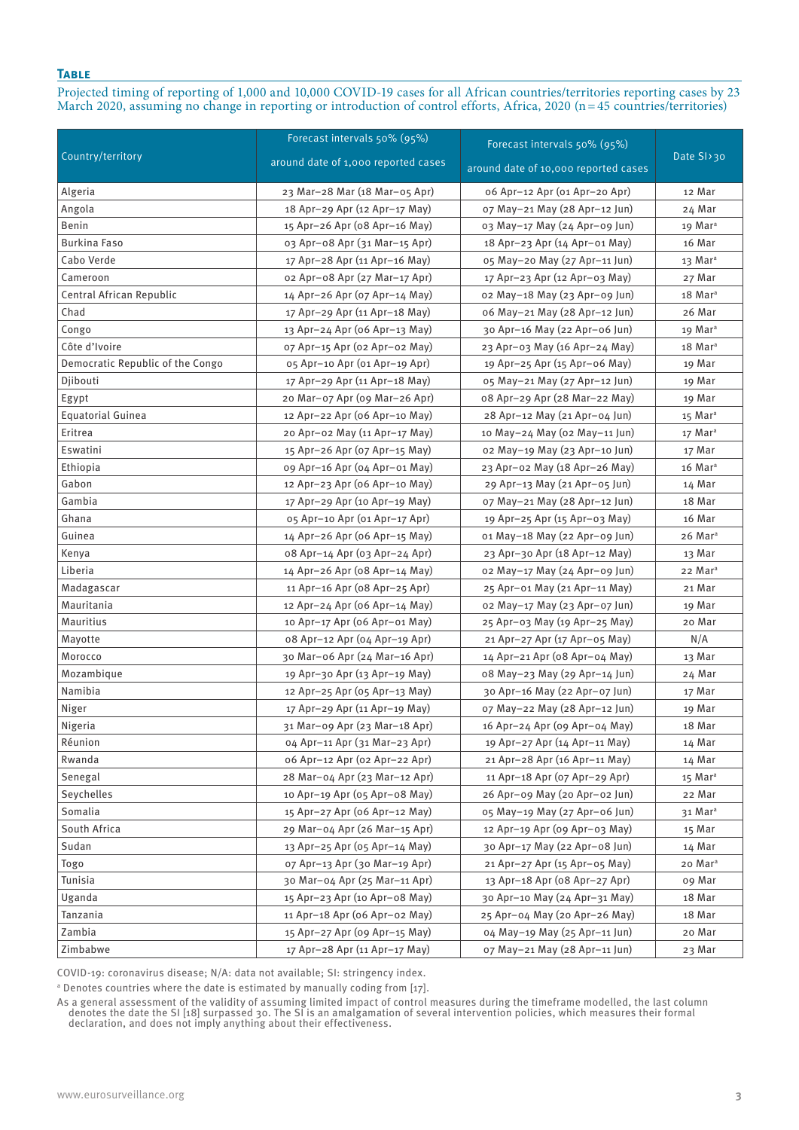## **Table**

Projected timing of reporting of 1,000 and 10,000 COVID-19 cases for all African countries/territories reporting cases by 23 March 2020, assuming no change in reporting or introduction of control efforts, Africa, 2020 (n=45 countries/territories)

|                                  | Forecast intervals 50% (95%)        | Forecast intervals 50% (95%)         |                     |
|----------------------------------|-------------------------------------|--------------------------------------|---------------------|
| Country/territory                | around date of 1,000 reported cases | around date of 10,000 reported cases | Date SI>30          |
| Algeria                          | 23 Mar-28 Mar (18 Mar-05 Apr)       | 06 Apr-12 Apr (01 Apr-20 Apr)        | 12 Mar              |
| Angola                           | 18 Apr-29 Apr (12 Apr-17 May)       | o7 May-21 May (28 Apr-12 Jun)        | 24 Mar              |
| Benin                            | 15 Apr-26 Apr (08 Apr-16 May)       | 03 May-17 May (24 Apr-09 Jun)        | 19 Mar <sup>a</sup> |
| Burkina Faso                     | 03 Apr-08 Apr (31 Mar-15 Apr)       | 18 Apr-23 Apr (14 Apr-01 May)        | 16 Mar              |
| Cabo Verde                       | 17 Apr-28 Apr (11 Apr-16 May)       | 05 May-20 May (27 Apr-11 Jun)        | 13 Mar <sup>a</sup> |
| Cameroon                         | o2 Apr-o8 Apr (27 Mar-17 Apr)       | 17 Apr-23 Apr (12 Apr-03 May)        | 27 Mar              |
| Central African Republic         | 14 Apr-26 Apr (07 Apr-14 May)       | o2 May-18 May (23 Apr-09 Jun)        | 18 Mar <sup>a</sup> |
| Chad                             | 17 Apr-29 Apr (11 Apr-18 May)       | o6 May-21 May (28 Apr-12 Jun)        | 26 Mar              |
| Congo                            | 13 Apr-24 Apr (06 Apr-13 May)       | 30 Apr-16 May (22 Apr-06 Jun)        | 19 Mar <sup>a</sup> |
| Côte d'Ivoire                    | o7 Apr-15 Apr (o2 Apr-02 May)       | 23 Apr-03 May (16 Apr-24 May)        | 18 Mar <sup>a</sup> |
| Democratic Republic of the Congo | 05 Apr-10 Apr (01 Apr-19 Apr)       | 19 Apr-25 Apr (15 Apr-06 May)        | 19 Mar              |
| Djibouti                         | 17 Apr-29 Apr (11 Apr-18 May)       | 05 May-21 May (27 Apr-12 Jun)        | 19 Mar              |
| Egypt                            | 20 Mar-07 Apr (09 Mar-26 Apr)       | o8 Apr-29 Apr (28 Mar-22 May)        | 19 Mar              |
| <b>Equatorial Guinea</b>         | 12 Apr-22 Apr (06 Apr-10 May)       | 28 Apr-12 May (21 Apr-04 Jun)        | 15 Mar <sup>a</sup> |
| Eritrea                          | 20 Apr-02 May (11 Apr-17 May)       | 10 May-24 May (02 May-11 Jun)        | 17 Mar <sup>a</sup> |
| Eswatini                         | 15 Apr-26 Apr (07 Apr-15 May)       | o2 May-19 May (23 Apr-10 Jun)        | 17 Mar              |
| Ethiopia                         | 09 Apr-16 Apr (04 Apr-01 May)       | 23 Apr-02 May (18 Apr-26 May)        | 16 Mar <sup>a</sup> |
| Gabon                            | 12 Apr-23 Apr (06 Apr-10 May)       | 29 Apr-13 May (21 Apr-05 Jun)        | 14 Mar              |
| Gambia                           | 17 Apr-29 Apr (10 Apr-19 May)       | o7 May-21 May (28 Apr-12 Jun)        | 18 Mar              |
| Ghana                            | 05 Apr-10 Apr (01 Apr-17 Apr)       | 19 Apr-25 Apr (15 Apr-03 May)        | 16 Mar              |
| Guinea                           | 14 Apr-26 Apr (06 Apr-15 May)       | o1 May-18 May (22 Apr-09 Jun)        | 26 Mar <sup>a</sup> |
| Kenya                            | 08 Apr-14 Apr (03 Apr-24 Apr)       | 23 Apr-30 Apr (18 Apr-12 May)        | 13 Mar              |
| Liberia                          | 14 Apr-26 Apr (08 Apr-14 May)       | o2 May-17 May (24 Apr-09 Jun)        | 22 Mar <sup>a</sup> |
| Madagascar                       | 11 Apr-16 Apr (08 Apr-25 Apr)       | 25 Apr-01 May (21 Apr-11 May)        | 21 Mar              |
| Mauritania                       | 12 Apr-24 Apr (06 Apr-14 May)       | o2 May-17 May (23 Apr-07 Jun)        | 19 Mar              |
| Mauritius                        | 10 Apr-17 Apr (06 Apr-01 May)       | 25 Apr-03 May (19 Apr-25 May)        | 20 Mar              |
| Mayotte                          | 08 Apr-12 Apr (04 Apr-19 Apr)       | 21 Apr-27 Apr (17 Apr-05 May)        | N/A                 |
| Morocco                          | 30 Mar-06 Apr (24 Mar-16 Apr)       | 14 Apr-21 Apr (08 Apr-04 May)        | 13 Mar              |
| Mozambique                       | 19 Apr-30 Apr (13 Apr-19 May)       | o8 May-23 May (29 Apr-14 Jun)        | 24 Mar              |
| Namibia                          | 12 Apr-25 Apr (05 Apr-13 May)       | 30 Apr-16 May (22 Apr-07 Jun)        | 17 Mar              |
| Niger                            | 17 Apr-29 Apr (11 Apr-19 May)       | o7 May-22 May (28 Apr-12 Jun)        | 19 Mar              |
| Nigeria                          | 31 Mar-09 Apr (23 Mar-18 Apr)       | 16 Apr-24 Apr (09 Apr-04 May)        | 18 Mar              |
| Réunion                          | 04 Apr-11 Apr (31 Mar-23 Apr)       | 19 Apr-27 Apr (14 Apr-11 May)        | 14 Mar              |
| Rwanda                           | 06 Apr-12 Apr (02 Apr-22 Apr)       | 21 Apr-28 Apr (16 Apr-11 May)        | 14 Mar              |
| Senegal                          | 28 Mar-04 Apr (23 Mar-12 Apr)       | 11 Apr-18 Apr (07 Apr-29 Apr)        | 15 Mar <sup>a</sup> |
| Seychelles                       | 10 Apr-19 Apr (05 Apr-08 May)       | 26 Apr-o9 May (20 Apr-o2 Jun)        | 22 Mar              |
| Somalia                          | 15 Apr-27 Apr (06 Apr-12 May)       | 05 May-19 May (27 Apr-06 Jun)        | 31 Mar <sup>a</sup> |
| South Africa                     | 29 Mar-04 Apr (26 Mar-15 Apr)       | 12 Apr-19 Apr (09 Apr-03 May)        | 15 Mar              |
| Sudan                            | 13 Apr-25 Apr (05 Apr-14 May)       | 30 Apr-17 May (22 Apr-08 Jun)        | 14 Mar              |
| Togo                             | 07 Apr-13 Apr (30 Mar-19 Apr)       | 21 Apr-27 Apr (15 Apr-05 May)        | 20 Mar <sup>a</sup> |
| Tunisia                          | 30 Mar-04 Apr (25 Mar-11 Apr)       | 13 Apr-18 Apr (08 Apr-27 Apr)        | o9 Mar              |
| Uganda                           | 15 Apr-23 Apr (10 Apr-08 May)       | 30 Apr-10 May (24 Apr-31 May)        | 18 Mar              |
| Tanzania                         | 11 Apr-18 Apr (06 Apr-02 May)       | 25 Apr-04 May (20 Apr-26 May)        | 18 Mar              |
| Zambia                           | 15 Apr-27 Apr (09 Apr-15 May)       | 04 May-19 May (25 Apr-11 Jun)        | 20 Mar              |
| Zimbabwe                         | 17 Apr-28 Apr (11 Apr-17 May)       | o7 May-21 May (28 Apr-11 Jun)        | 23 Mar              |

COVID-19: coronavirus disease; N/A: data not available; SI: stringency index.

a Denotes countries where the date is estimated by manually coding from [17].

As a general assessment of the validity of assuming limited impact of control measures during the timeframe modelled, the last column denotes the date the SI [18] surpassed 30. The SI is an amalgamation of several intervention policies, which measures their formal declaration, and does not imply anything about their effectiveness.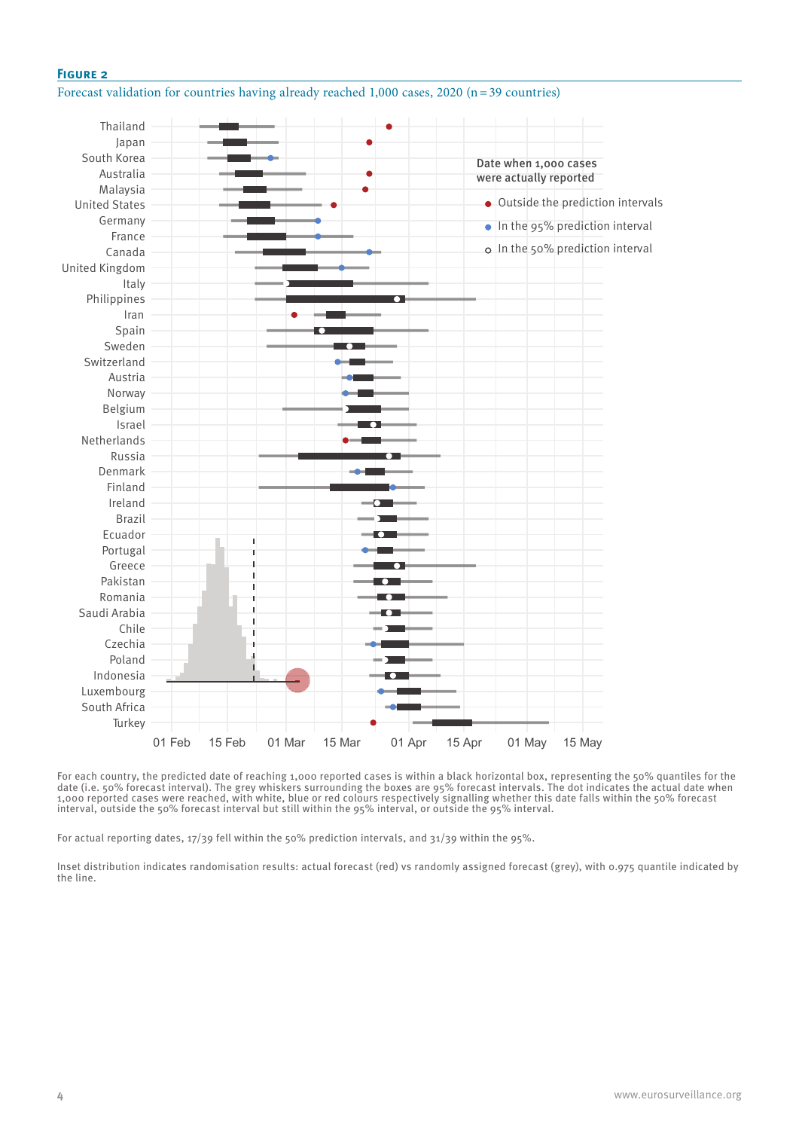## **Figure 2**

## Forecast validation for countries having already reached 1,000 cases, 2020 (n=39 countries)



For each country, the predicted date of reaching 1,000 reported cases is within a black horizontal box, representing the 50% quantiles for the date (i.e. 50% forecast interval). The grey whiskers surrounding the boxes are 95% forecast intervals. The dot indicates the actual date when 1,000 reported cases were reached, with white, blue or red colours respectively signalling whether this date falls within the 50% forecast interval, outside the 50% forecast interval but still within the 95% interval, or outside the 95% interval.

For actual reporting dates, 17/39 fell within the 50% prediction intervals, and 31/39 within the 95%.

Inset distribution indicates randomisation results: actual forecast (red) vs randomly assigned forecast (grey), with 0.975 quantile indicated by the line.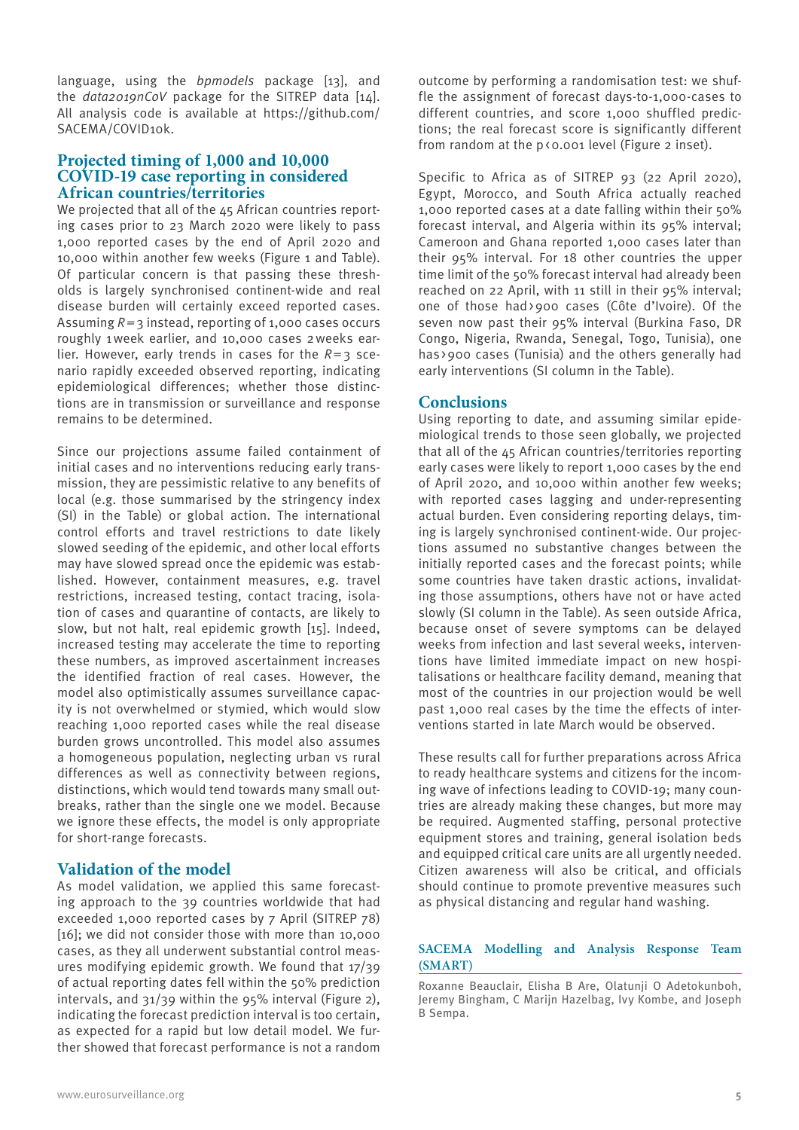language, using the *bpmodels* package [13], and the *data2019nCoV* package for the SITREP data [14]. All analysis code is available at https://github.com/ SACEMA/COVID10k.

# **Projected timing of 1,000 and 10,000 COVID-19 case reporting in considered African countries/territories**

We projected that all of the 45 African countries reporting cases prior to 23 March 2020 were likely to pass 1,000 reported cases by the end of April 2020 and 10,000 within another few weeks (Figure 1 and Table). Of particular concern is that passing these thresholds is largely synchronised continent-wide and real disease burden will certainly exceed reported cases. Assuming *R=*3 instead, reporting of 1,000 cases occurs roughly 1week earlier, and 10,000 cases 2weeks earlier. However, early trends in cases for the  $R=3$  scenario rapidly exceeded observed reporting, indicating epidemiological differences; whether those distinctions are in transmission or surveillance and response remains to be determined.

Since our projections assume failed containment of initial cases and no interventions reducing early transmission, they are pessimistic relative to any benefits of local (e.g. those summarised by the stringency index (SI) in the Table) or global action. The international control efforts and travel restrictions to date likely slowed seeding of the epidemic, and other local efforts may have slowed spread once the epidemic was established. However, containment measures, e.g. travel restrictions, increased testing, contact tracing, isolation of cases and quarantine of contacts, are likely to slow, but not halt, real epidemic growth [15]. Indeed, increased testing may accelerate the time to reporting these numbers, as improved ascertainment increases the identified fraction of real cases. However, the model also optimistically assumes surveillance capacity is not overwhelmed or stymied, which would slow reaching 1,000 reported cases while the real disease burden grows uncontrolled. This model also assumes a homogeneous population, neglecting urban vs rural differences as well as connectivity between regions, distinctions, which would tend towards many small outbreaks, rather than the single one we model. Because we ignore these effects, the model is only appropriate for short-range forecasts.

# **Validation of the model**

As model validation, we applied this same forecasting approach to the 39 countries worldwide that had exceeded 1,000 reported cases by 7 April (SITREP 78) [16]; we did not consider those with more than 10,000 cases, as they all underwent substantial control measures modifying epidemic growth. We found that 17/39 of actual reporting dates fell within the 50% prediction intervals, and 31/39 within the 95% interval (Figure 2), indicating the forecast prediction interval is too certain, as expected for a rapid but low detail model. We further showed that forecast performance is not a random outcome by performing a randomisation test: we shuffle the assignment of forecast days-to-1,000-cases to different countries, and score 1,000 shuffled predictions; the real forecast score is significantly different from random at the p<0.001 level (Figure 2 inset).

Specific to Africa as of SITREP 93 (22 April 2020), Egypt, Morocco, and South Africa actually reached 1,000 reported cases at a date falling within their 50% forecast interval, and Algeria within its 95% interval; Cameroon and Ghana reported 1,000 cases later than their 95% interval. For 18 other countries the upper time limit of the 50% forecast interval had already been reached on 22 April, with 11 still in their 95% interval; one of those had>900 cases (Côte d'Ivoire). Of the seven now past their 95% interval (Burkina Faso, DR Congo, Nigeria, Rwanda, Senegal, Togo, Tunisia), one has >900 cases (Tunisia) and the others generally had early interventions (SI column in the Table).

## **Conclusions**

Using reporting to date, and assuming similar epidemiological trends to those seen globally, we projected that all of the 45 African countries/territories reporting early cases were likely to report 1,000 cases by the end of April 2020, and 10,000 within another few weeks; with reported cases lagging and under-representing actual burden. Even considering reporting delays, timing is largely synchronised continent-wide. Our projections assumed no substantive changes between the initially reported cases and the forecast points; while some countries have taken drastic actions, invalidating those assumptions, others have not or have acted slowly (SI column in the Table). As seen outside Africa, because onset of severe symptoms can be delayed weeks from infection and last several weeks, interventions have limited immediate impact on new hospitalisations or healthcare facility demand, meaning that most of the countries in our projection would be well past 1,000 real cases by the time the effects of interventions started in late March would be observed.

These results call for further preparations across Africa to ready healthcare systems and citizens for the incoming wave of infections leading to COVID-19; many countries are already making these changes, but more may be required. Augmented staffing, personal protective equipment stores and training, general isolation beds and equipped critical care units are all urgently needed. Citizen awareness will also be critical, and officials should continue to promote preventive measures such as physical distancing and regular hand washing.

# **SACEMA Modelling and Analysis Response Team (SMART)**

Roxanne Beauclair, Elisha B Are, Olatunji O Adetokunboh, Jeremy Bingham, C Marijn Hazelbag, Ivy Kombe, and Joseph B Sempa.